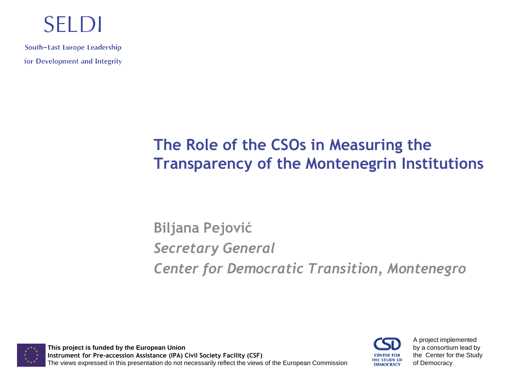#### **SELDI**

South-East Europe Leadership for Development and Integrity

#### **The Role of the CSOs in Measuring the Transparency of the Montenegrin Institutions**

**Biljana Pejović** *Secretary General Center for Democratic Transition, Montenegro* 

**This project is funded by the European Union Instrument for Pre-accession Assistance (IPA) Civil Society Facility (CSF)** The views expressed in this presentation do not necessarily reflect the views of the European Commission



A project implemented by a consortium lead by the Center for the Study of Democracy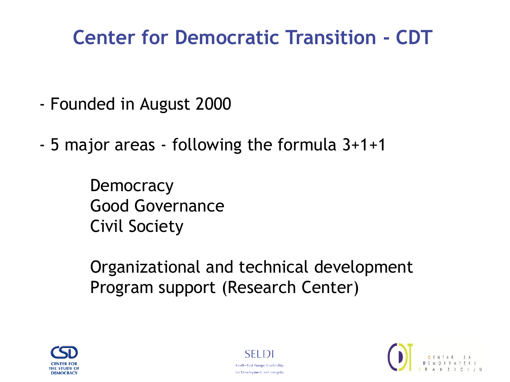# **Center for Democratic Transition - CDT**

- Founded in August 2000
- 5 major areas following the formula 3+1+1

**Democracy** Good Governance Civil Society

Organizational and technical development Program support (Research Center)





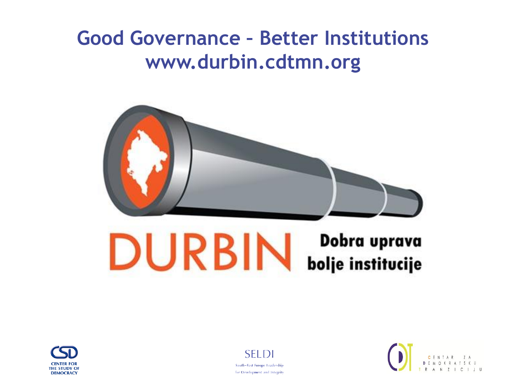# **Good Governance – Better Institutions www.durbin.cdtmn.org**



# **DURBIN Dobra uprava**





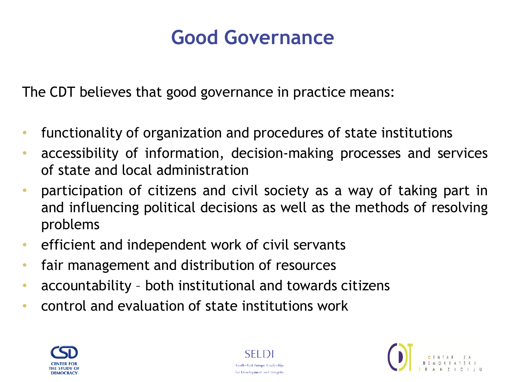#### **Good Governance**

The CDT believes that good governance in practice means:

- functionality of organization and procedures of state institutions
- accessibility of information, decision-making processes and services of state and local administration
- participation of citizens and civil society as a way of taking part in and influencing political decisions as well as the methods of resolving problems
- efficient and independent work of civil servants
- fair management and distribution of resources
- accountability both institutional and towards citizens
- control and evaluation of state institutions work





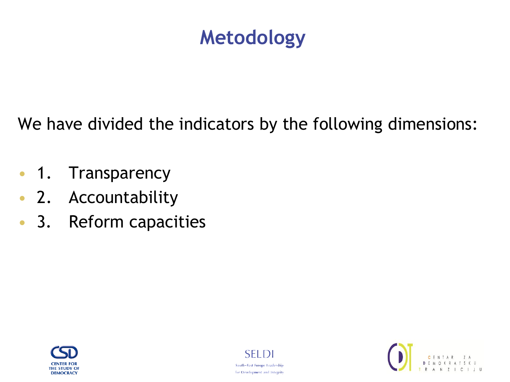### **Metodology**

We have divided the indicators by the following dimensions:

- 1. Transparency
- 2. Accountability
- 3. Reform capacities





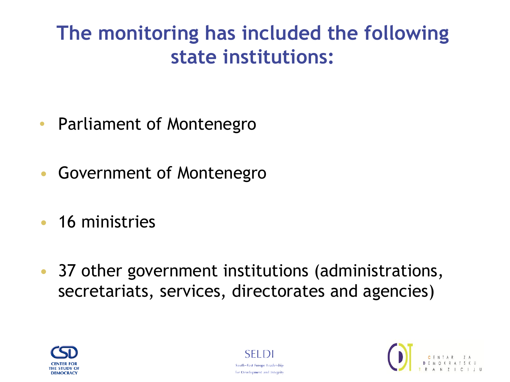# **The monitoring has included the following state institutions:**

- Parliament of Montenegro
- Government of Montenegro
- 16 ministries
- 37 other government institutions (administrations, secretariats, services, directorates and agencies)





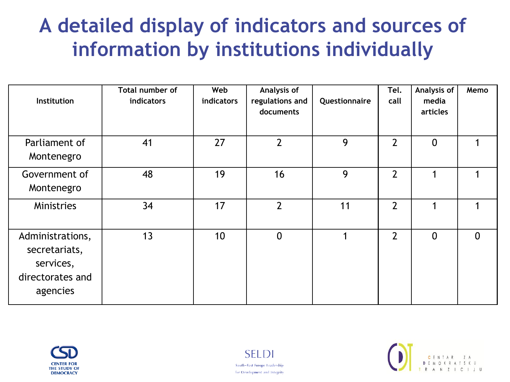# **A detailed display of indicators and sources of information by institutions individually**

| <b>Institution</b>                                                             | Total number of<br>indicators | Web<br>indicators | Analysis of<br>regulations and<br>documents | Questionnaire | Tel.<br>call   | Analysis of<br>media<br>articles | Memo        |
|--------------------------------------------------------------------------------|-------------------------------|-------------------|---------------------------------------------|---------------|----------------|----------------------------------|-------------|
| Parliament of<br>Montenegro                                                    | 41                            | 27                | $\overline{2}$                              | 9             | $\overline{2}$ | $\mathbf{0}$                     |             |
| Government of<br>Montenegro                                                    | 48                            | 19                | 16                                          | 9             | $\overline{2}$ | ◢                                | 1           |
| Ministries                                                                     | 34                            | 17                | $\overline{2}$                              | 11            | $\overline{2}$ |                                  | 1           |
| Administrations,<br>secretariats,<br>services,<br>directorates and<br>agencies | 13                            | 10                | $\overline{0}$                              | 1             | $\overline{2}$ | 0                                | $\mathbf 0$ |





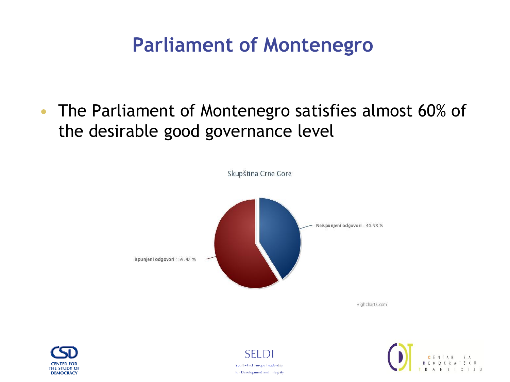# **Parliament of Montenegro**

• The Parliament of Montenegro satisfies almost 60% of the desirable good governance level



Highcharts, com





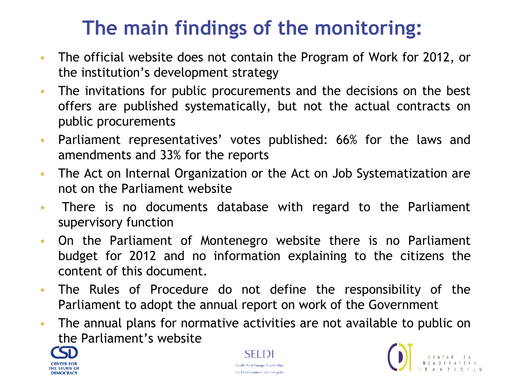- The official website does not contain the Program of Work for 2012, or the institution's development strategy
- The invitations for public procurements and the decisions on the best offers are published systematically, but not the actual contracts on public procurements
- Parliament representatives' votes published: 66% for the laws and amendments and 33% for the reports
- The Act on Internal Organization or the Act on Job Systematization are not on the Parliament website
- There is no documents database with regard to the Parliament supervisory function
- On the Parliament of Montenegro website there is no Parliament budget for 2012 and no information explaining to the citizens the content of this document.
- The Rules of Procedure do not define the responsibility of the Parliament to adopt the annual report on work of the Government
- The annual plans for normative activities are not available to public on the Parliament's website





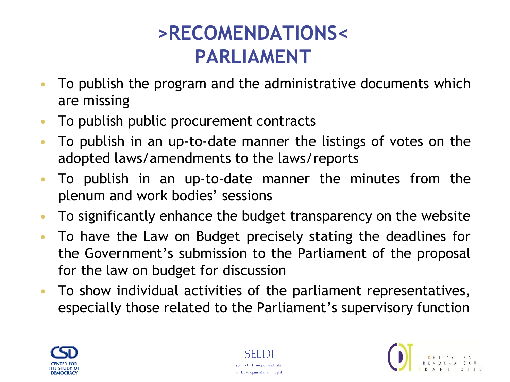# **>RECOMENDATIONS< PARLIAMENT**

- To publish the program and the administrative documents which are missing
- To publish public procurement contracts
- To publish in an up-to-date manner the listings of votes on the adopted laws/amendments to the laws/reports
- To publish in an up-to-date manner the minutes from the plenum and work bodies' sessions
- To significantly enhance the budget transparency on the website
- To have the Law on Budget precisely stating the deadlines for the Government's submission to the Parliament of the proposal for the law on budget for discussion
- To show individual activities of the parliament representatives, especially those related to the Parliament's supervisory function





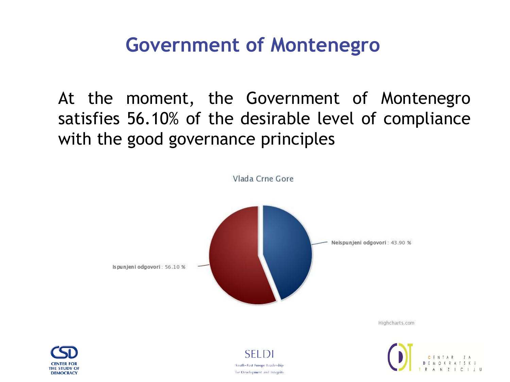#### **Government of Montenegro**

At the moment, the Government of Montenegro satisfies 56.10% of the desirable level of compliance with the good governance principles



**DEMOCRACY**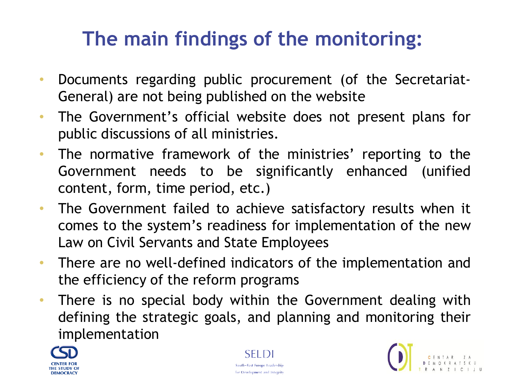- Documents regarding public procurement (of the Secretariat-General) are not being published on the website
- The Government's official website does not present plans for public discussions of all ministries.
- The normative framework of the ministries' reporting to the Government needs to be significantly enhanced (unified content, form, time period, etc.)
- The Government failed to achieve satisfactory results when it comes to the system's readiness for implementation of the new Law on Civil Servants and State Employees
- There are no well-defined indicators of the implementation and the efficiency of the reform programs
- There is no special body within the Government dealing with defining the strategic goals, and planning and monitoring their implementation





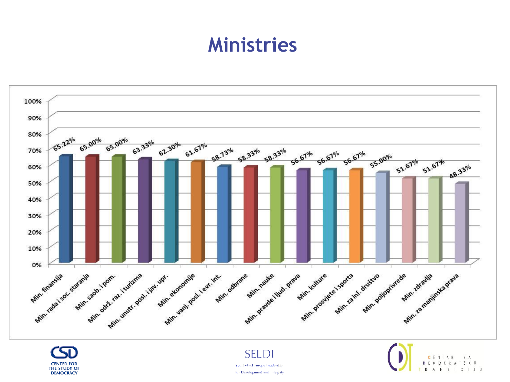#### **Ministries**



**CENTER FOR THE STUDY OF DEMOCRACY** 

**SELDI** South-East Europe Leadership for Development and Integrity

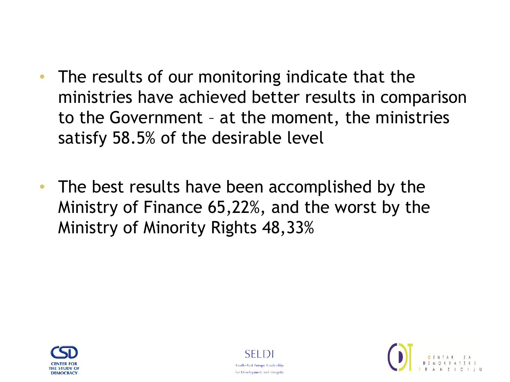- The results of our monitoring indicate that the ministries have achieved better results in comparison to the Government – at the moment, the ministries satisfy 58.5% of the desirable level
- The best results have been accomplished by the Ministry of Finance 65,22%, and the worst by the Ministry of Minority Rights 48,33%





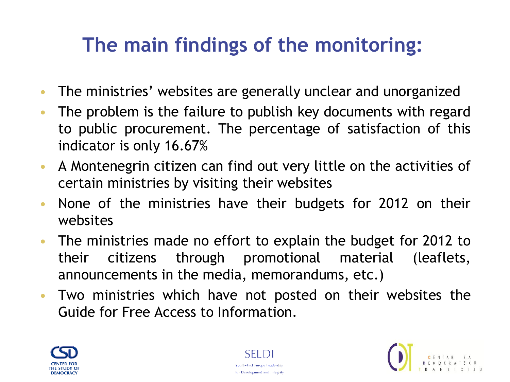- The ministries' websites are generally unclear and unorganized
- The problem is the failure to publish key documents with regard to public procurement. The percentage of satisfaction of this indicator is only 16.67%
- A Montenegrin citizen can find out very little on the activities of certain ministries by visiting their websites
- None of the ministries have their budgets for 2012 on their websites
- The ministries made no effort to explain the budget for 2012 to their citizens through promotional material (leaflets, announcements in the media, memorandums, etc.)
- Two ministries which have not posted on their websites the Guide for Free Access to Information.





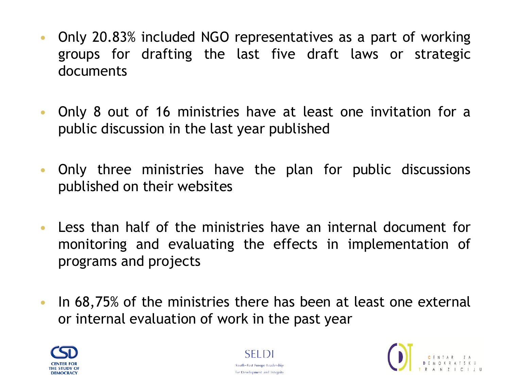- Only 20.83% included NGO representatives as a part of working groups for drafting the last five draft laws or strategic documents
- Only 8 out of 16 ministries have at least one invitation for a public discussion in the last year published
- Only three ministries have the plan for public discussions published on their websites
- Less than half of the ministries have an internal document for monitoring and evaluating the effects in implementation of programs and projects
- In 68,75% of the ministries there has been at least one external or internal evaluation of work in the past year





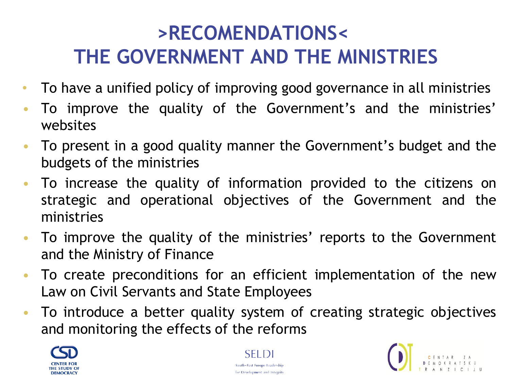# **>RECOMENDATIONS< THE GOVERNMENT AND THE MINISTRIES**

- To have a unified policy of improving good governance in all ministries
- To improve the quality of the Government's and the ministries' websites
- To present in a good quality manner the Government's budget and the budgets of the ministries
- To increase the quality of information provided to the citizens on strategic and operational objectives of the Government and the ministries
- To improve the quality of the ministries' reports to the Government and the Ministry of Finance
- To create preconditions for an efficient implementation of the new Law on Civil Servants and State Employees
- To introduce a better quality system of creating strategic objectives and monitoring the effects of the reforms





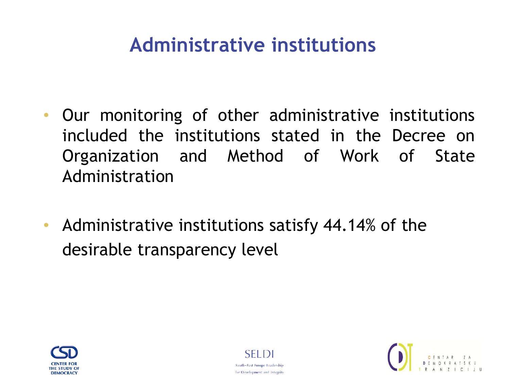## **Administrative institutions**

- Our monitoring of other administrative institutions included the institutions stated in the Decree on Organization and Method of Work of State Administration
- Administrative institutions satisfy 44.14% of the desirable transparency level





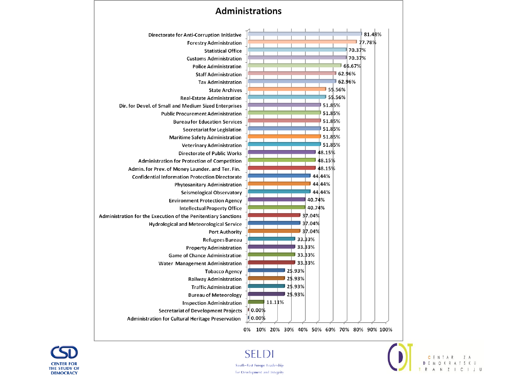







South-East Europe Leadership for Development and Integrity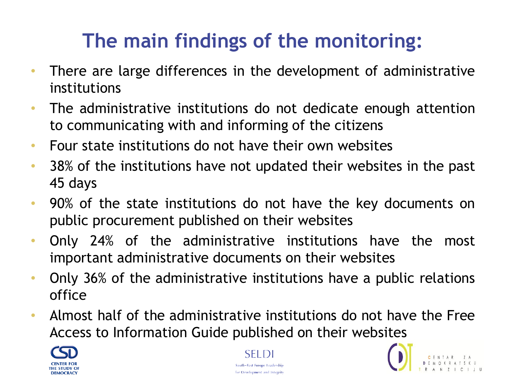- There are large differences in the development of administrative institutions
- The administrative institutions do not dedicate enough attention to communicating with and informing of the citizens
- Four state institutions do not have their own websites
- 38% of the institutions have not updated their websites in the past 45 days
- 90% of the state institutions do not have the key documents on public procurement published on their websites
- Only 24% of the administrative institutions have the most important administrative documents on their websites
- Only 36% of the administrative institutions have a public relations office
- Almost half of the administrative institutions do not have the Free Access to Information Guide published on their websites





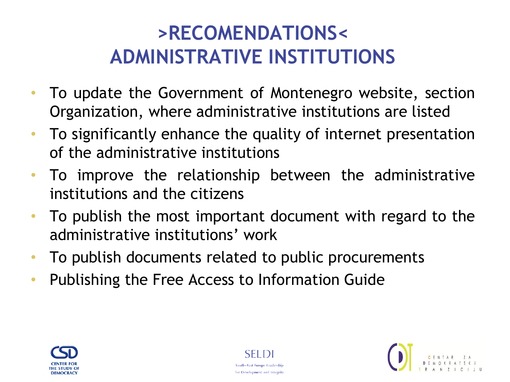# **>RECOMENDATIONS< ADMINISTRATIVE INSTITUTIONS**

- To update the Government of Montenegro website, section Organization, where administrative institutions are listed
- To significantly enhance the quality of internet presentation of the administrative institutions
- To improve the relationship between the administrative institutions and the citizens
- To publish the most important document with regard to the administrative institutions' work
- To publish documents related to public procurements
- Publishing the Free Access to Information Guide